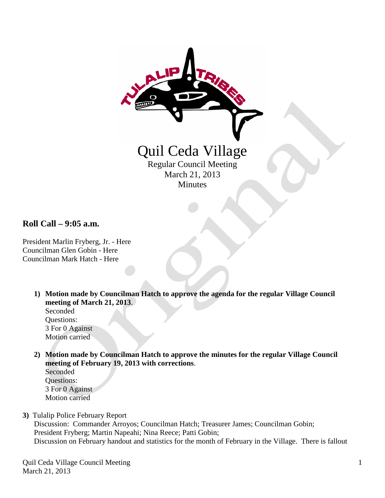

**Roll Call – 9:05 a.m.**

President Marlin Fryberg, Jr. - Here Councilman Glen Gobin - Here Councilman Mark Hatch - Here

> **1) Motion made by Councilman Hatch to approve the agenda for the regular Village Council meeting of March 21, 2013**.

Seconded Questions: 3 For 0 Against Motion carried

**2) Motion made by Councilman Hatch to approve the minutes for the regular Village Council meeting of February 19, 2013 with corrections**.

Seconded Questions: 3 For 0 Against Motion carried

**3)** Tulalip Police February Report

 Discussion: Commander Arroyos; Councilman Hatch; Treasurer James; Councilman Gobin; President Fryberg; Martin Napeahi; Nina Reece; Patti Gobin; Discussion on February handout and statistics for the month of February in the Village. There is fallout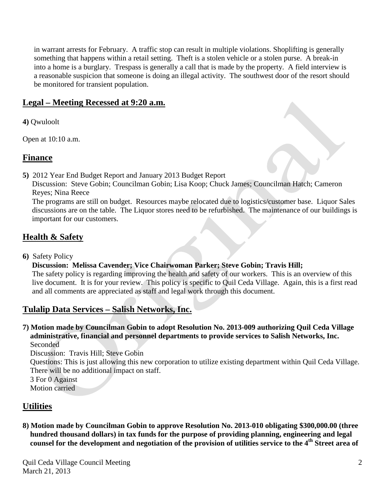in warrant arrests for February. A traffic stop can result in multiple violations. Shoplifting is generally something that happens within a retail setting. Theft is a stolen vehicle or a stolen purse. A break-in into a home is a burglary. Trespass is generally a call that is made by the property. A field interview is a reasonable suspicion that someone is doing an illegal activity. The southwest door of the resort should be monitored for transient population.

## **Legal – Meeting Recessed at 9:20 a.m.**

**4)** Qwuloolt

Open at 10:10 a.m.

### **Finance**

**5)** 2012 Year End Budget Report and January 2013 Budget Report

 Discussion: Steve Gobin; Councilman Gobin; Lisa Koop; Chuck James; Councilman Hatch; Cameron Reyes; Nina Reece

 The programs are still on budget. Resources maybe relocated due to logistics/customer base. Liquor Sales discussions are on the table. The Liquor stores need to be refurbished. The maintenance of our buildings is important for our customers.

## **Health & Safety**

**6)** Safety Policy

 **Discussion: Melissa Cavender; Vice Chairwoman Parker; Steve Gobin; Travis Hill;**  The safety policy is regarding improving the health and safety of our workers. This is an overview of this live document. It is for your review. This policy is specific to Quil Ceda Village. Again, this is a first read

and all comments are appreciated as staff and legal work through this document.

# **Tulalip Data Services – Salish Networks, Inc.**

**7) Motion made by Councilman Gobin to adopt Resolution No. 2013-009 authorizing Quil Ceda Village administrative, financial and personnel departments to provide services to Salish Networks, Inc.** Seconded

Discussion: Travis Hill; Steve Gobin

 Questions: This is just allowing this new corporation to utilize existing department within Quil Ceda Village. There will be no additional impact on staff.

3 For 0 Against

Motion carried

# **Utilities**

**8) Motion made by Councilman Gobin to approve Resolution No. 2013-010 obligating \$300,000.00 (three hundred thousand dollars) in tax funds for the purpose of providing planning, engineering and legal counsel for the development and negotiation of the provision of utilities service to the 4th Street area of**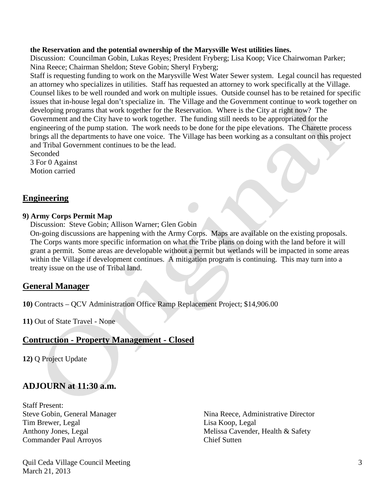#### **the Reservation and the potential ownership of the Marysville West utilities lines.**

 Discussion: Councilman Gobin, Lukas Reyes; President Fryberg; Lisa Koop; Vice Chairwoman Parker; Nina Reece; Chairman Sheldon; Steve Gobin; Sheryl Fryberg;

 Staff is requesting funding to work on the Marysville West Water Sewer system. Legal council has requested an attorney who specializes in utilities. Staff has requested an attorney to work specifically at the Village. Counsel likes to be well rounded and work on multiple issues. Outside counsel has to be retained for specific issues that in-house legal don't specialize in. The Village and the Government continue to work together on developing programs that work together for the Reservation. Where is the City at right now? The Government and the City have to work together. The funding still needs to be appropriated for the engineering of the pump station. The work needs to be done for the pipe elevations. The Charette process brings all the departments to have one voice. The Village has been working as a consultant on this project and Tribal Government continues to be the lead.

 Seconded 3 For 0 Against Motion carried

### **Engineering**

#### **9) Army Corps Permit Map**

Discussion: Steve Gobin; Allison Warner; Glen Gobin

 On-going discussions are happening with the Army Corps. Maps are available on the existing proposals. The Corps wants more specific information on what the Tribe plans on doing with the land before it will grant a permit. Some areas are developable without a permit but wetlands will be impacted in some areas within the Village if development continues. A mitigation program is continuing. This may turn into a treaty issue on the use of Tribal land.

### **General Manager**

**10)** Contracts – QCV Administration Office Ramp Replacement Project; \$14,906.00

**11)** Out of State Travel - None

### **Contruction - Property Management - Closed**

**12)** Q Project Update

### **ADJOURN at 11:30 a.m.**

Staff Present: Tim Brewer, Legal Lisa Koop, Legal Commander Paul Arroyos Chief Sutten

Quil Ceda Village Council Meeting March 21, 2013

Steve Gobin, General Manager Nina Reece, Administrative Director Anthony Jones, Legal Melissa Cavender, Health & Safety